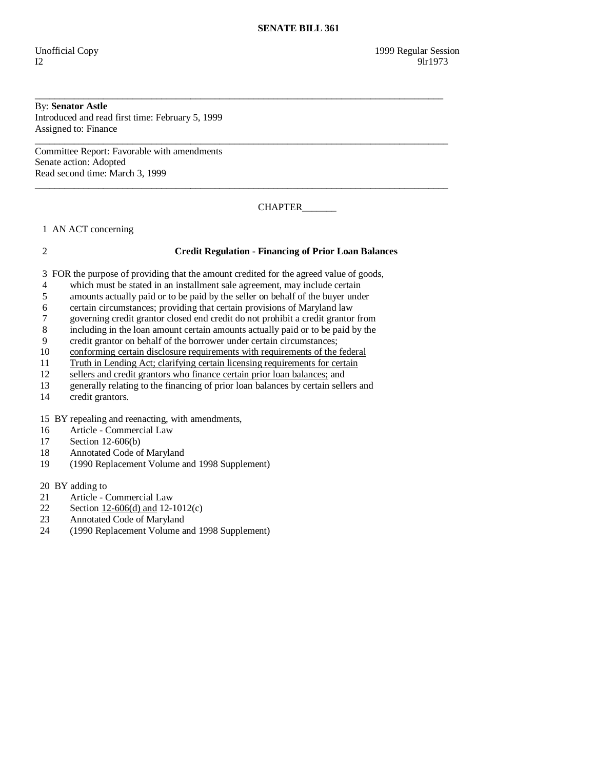# By: **Senator Astle**

Introduced and read first time: February 5, 1999 Assigned to: Finance

Committee Report: Favorable with amendments Senate action: Adopted Read second time: March 3, 1999

CHAPTER\_\_\_\_\_\_\_

1 AN ACT concerning

### 2 **Credit Regulation - Financing of Prior Loan Balances**

3 FOR the purpose of providing that the amount credited for the agreed value of goods,

\_\_\_\_\_\_\_\_\_\_\_\_\_\_\_\_\_\_\_\_\_\_\_\_\_\_\_\_\_\_\_\_\_\_\_\_\_\_\_\_\_\_\_\_\_\_\_\_\_\_\_\_\_\_\_\_\_\_\_\_\_\_\_\_\_\_\_\_\_\_\_\_\_\_\_\_\_\_\_\_\_\_\_\_

\_\_\_\_\_\_\_\_\_\_\_\_\_\_\_\_\_\_\_\_\_\_\_\_\_\_\_\_\_\_\_\_\_\_\_\_\_\_\_\_\_\_\_\_\_\_\_\_\_\_\_\_\_\_\_\_\_\_\_\_\_\_\_\_\_\_\_\_\_\_\_\_\_\_\_\_\_\_\_\_\_\_\_\_\_

\_\_\_\_\_\_\_\_\_\_\_\_\_\_\_\_\_\_\_\_\_\_\_\_\_\_\_\_\_\_\_\_\_\_\_\_\_\_\_\_\_\_\_\_\_\_\_\_\_\_\_\_\_\_\_\_\_\_\_\_\_\_\_\_\_\_\_\_\_\_\_\_\_\_\_\_\_\_\_\_\_\_\_\_\_

- 4 which must be stated in an installment sale agreement, may include certain
- 5 amounts actually paid or to be paid by the seller on behalf of the buyer under
- 6 certain circumstances; providing that certain provisions of Maryland law
- 7 governing credit grantor closed end credit do not prohibit a credit grantor from
- 8 including in the loan amount certain amounts actually paid or to be paid by the
- 9 credit grantor on behalf of the borrower under certain circumstances;
- 10 conforming certain disclosure requirements with requirements of the federal
- 11 Truth in Lending Act; clarifying certain licensing requirements for certain
- 12 sellers and credit grantors who finance certain prior loan balances; and
- 13 generally relating to the financing of prior loan balances by certain sellers and credit grantors.
- credit grantors.

15 BY repealing and reenacting, with amendments,

- 16 Article Commercial Law
- 17 Section 12-606(b)
- 18 Annotated Code of Maryland
- 19 (1990 Replacement Volume and 1998 Supplement)

20 BY adding to

- 21 Article Commercial Law<br>22 Section 12-606(d) and 12-
- 22 Section  $12-606(d)$  and  $12-1012(c)$ <br>23 Annotated Code of Maryland
- Annotated Code of Maryland
- 24 (1990 Replacement Volume and 1998 Supplement)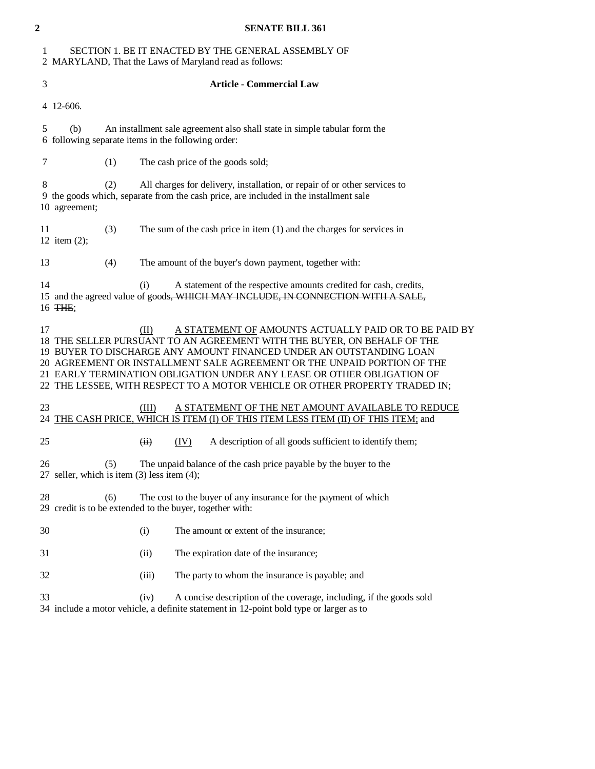| $\mathbf{2}$ | <b>SENATE BILL 361</b>                                                                                                                                                                                                                                                                                                                                                                                                                              |
|--------------|-----------------------------------------------------------------------------------------------------------------------------------------------------------------------------------------------------------------------------------------------------------------------------------------------------------------------------------------------------------------------------------------------------------------------------------------------------|
| 1            | SECTION 1. BE IT ENACTED BY THE GENERAL ASSEMBLY OF<br>2 MARYLAND, That the Laws of Maryland read as follows:                                                                                                                                                                                                                                                                                                                                       |
| 3            | <b>Article - Commercial Law</b>                                                                                                                                                                                                                                                                                                                                                                                                                     |
|              | 4 12-606.                                                                                                                                                                                                                                                                                                                                                                                                                                           |
| 5            | An installment sale agreement also shall state in simple tabular form the<br>(b)<br>6 following separate items in the following order:                                                                                                                                                                                                                                                                                                              |
| 7            | (1)<br>The cash price of the goods sold;                                                                                                                                                                                                                                                                                                                                                                                                            |
| 8            | (2)<br>All charges for delivery, installation, or repair of or other services to<br>9 the goods which, separate from the cash price, are included in the installment sale<br>10 agreement;                                                                                                                                                                                                                                                          |
| 11           | (3)<br>The sum of the cash price in item $(1)$ and the charges for services in<br>12 item $(2)$ ;                                                                                                                                                                                                                                                                                                                                                   |
| 13           | (4)<br>The amount of the buyer's down payment, together with:                                                                                                                                                                                                                                                                                                                                                                                       |
| 14           | A statement of the respective amounts credited for cash, credits,<br>(i)<br>15 and the agreed value of goods, WHICH MAY INCLUDE, IN CONNECTION WITH A SALE,<br>16 THE;                                                                                                                                                                                                                                                                              |
| 17           | A STATEMENT OF AMOUNTS ACTUALLY PAID OR TO BE PAID BY<br>(II)<br>18 THE SELLER PURSUANT TO AN AGREEMENT WITH THE BUYER, ON BEHALF OF THE<br>19 BUYER TO DISCHARGE ANY AMOUNT FINANCED UNDER AN OUTSTANDING LOAN<br>20 AGREEMENT OR INSTALLMENT SALE AGREEMENT OR THE UNPAID PORTION OF THE<br>21 EARLY TERMINATION OBLIGATION UNDER ANY LEASE OR OTHER OBLIGATION OF<br>22 THE LESSEE, WITH RESPECT TO A MOTOR VEHICLE OR OTHER PROPERTY TRADED IN; |
| 23<br>24     | A STATEMENT OF THE NET AMOUNT AVAILABLE TO REDUCE<br>(III)<br>THE CASH PRICE, WHICH IS ITEM (I) OF THIS ITEM LESS ITEM (II) OF THIS ITEM; and                                                                                                                                                                                                                                                                                                       |
| 25           | A description of all goods sufficient to identify them;<br>(IV)<br>(ii)                                                                                                                                                                                                                                                                                                                                                                             |
| 26           | The unpaid balance of the cash price payable by the buyer to the<br>(5)<br>27 seller, which is item $(3)$ less item $(4)$ ;                                                                                                                                                                                                                                                                                                                         |
| 28           | (6)<br>The cost to the buyer of any insurance for the payment of which<br>29 credit is to be extended to the buyer, together with:                                                                                                                                                                                                                                                                                                                  |
| 30           | (i)<br>The amount or extent of the insurance;                                                                                                                                                                                                                                                                                                                                                                                                       |
| 31           | The expiration date of the insurance;<br>(ii)                                                                                                                                                                                                                                                                                                                                                                                                       |
| 32           | The party to whom the insurance is payable; and<br>(iii)                                                                                                                                                                                                                                                                                                                                                                                            |

 33 (iv) A concise description of the coverage, including, if the goods sold 34 include a motor vehicle, a definite statement in 12-point bold type or larger as to